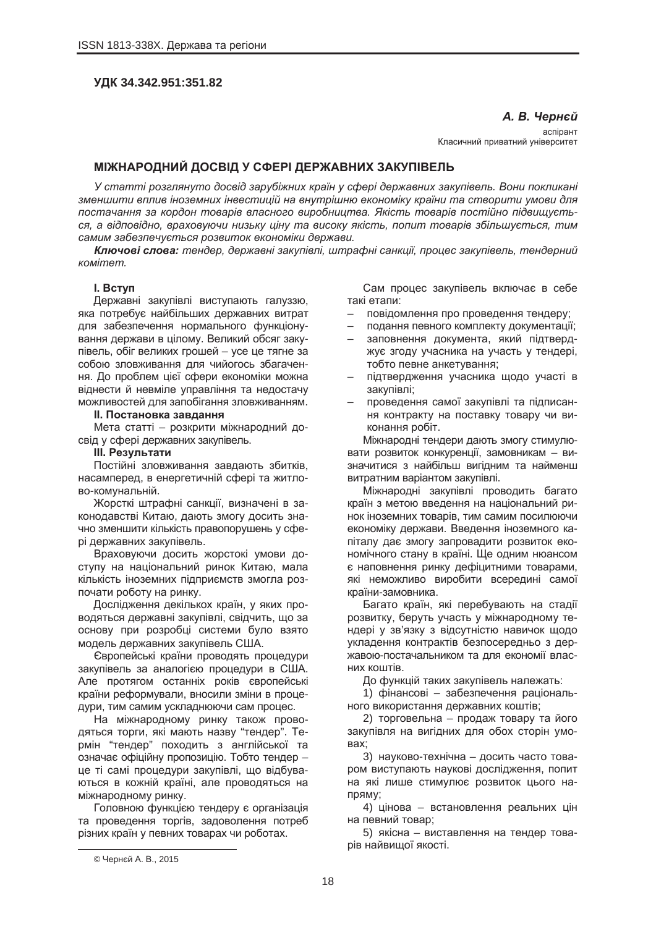# **ɍȾɄ 34.342.951:351.82**

 $A. B.$  Чернєй

scripser Класичний приватний університет

# **ɆȱɀɇȺɊɈȾɇɂɃ ȾɈɋȼȱȾ ɍ ɋɎȿɊȱ ȾȿɊɀȺȼɇɂɏ ɁȺɄɍɉȱȼȿɅɖ**

У статті розглянуто досвід зарубіжних країн у сфері державних закупівель. Вони покликані  $3$ меншити вплив іноземних інвестицій на внутрішню економіку країни та створити умови для лостачання за кордон товарів власного виробництва. Якість товарів постійно підвищуєть*cя*, а відповідно, враховуючи низьку ціну та високу якість, попит товарів збільшується, тим  $ca$ *мим* забезпечується розвиток економіки держави.

**Ключові слова:** тендер, державні закупівлі, штрафні санкції, процес закупівель, тендерний  $$ 

### **l.** BCTVN

Державні закупівлі виступають галуззю, яка потребує найбільших державних витрат для забезпечення нормального функціонування держави в цілому. Великий обсяг закупівель, обіг великих грошей – усе це тягне за собою зловживання для чийогось збагачення. До проблем цієї сфери економіки можна віднести й невміле управління та недостачу можливостей для запобігання зловживанням.

### $II.$  Постановка завдання

Мета статті – розкрити міжнародний досвід у сфері державних закупівель.

#### **III. Результати**

Постійні зловживання завдають збитків. насамперед, в енергетичній сфері та житлово-комунальній.

Жорсткі штрафні санкції, визначені в законодавстві Китаю, дають змогу досить значно зменшити кількість правопорушень у сфері державних закупівель.

Враховуючи досить жорстокі умови доступу на національний ринок Китаю, мала кількість іноземних підприємств змогла розпочати роботу на ринку.

Дослідження декількох країн, у яких проводяться державні закупівлі, свідчить, що за основу при розробці системи було взято модель державних закупівель США.

Свропейські країни проводять процедури закупівель за аналогією процедури в США. Але протягом останніх років європейські країни реформували, вносили зміни в процедури, тим самим ускладнюючи сам процес.

На міжнародному ринку також проводяться торги, які мають назву "тендер". Термін "тендер" походить з англійської та означає офіційну пропозицію. Тобто тендер – це ті самі процедури закупівлі, що відбуваються в кожній країні, але проводяться на міжнародному ринку.

Головною функцією тендеру є організація та проведення торгів, задоволення потреб різних країн у певних товарах чи роботах.

Сам процес закупівель включає в себе такі етапи:

- повідомлення про проведення тендеру;
- подання певного комплекту документації;
- заповнення документа, який підтверджує згоду учасника на участь у тендері, тобто певне анкетування;
- підтвердження учасника щодо участі в закупівлі:
- проведення самої закупівлі та підписання контракту на поставку товару чи виконання робіт.

Міжнародні тендери дають змогу стимулювати розвиток конкуренції, замовникам – визначитися з найбільш вигідним та найменш витратним варіантом закупівлі.

Міжнародні закупівлі проводить багато країн з метою введення на національний ринок іноземних товарів, тим самим посилюючи економіку держави. Введення іноземного капіталу дає змогу запровадити розвиток економічного стану в країні. Ще одним нюансом є наповнення ринку дефіцитними товарами, які неможливо виробити всередині самої країни-замовника.

Багато країн, які перебувають на стадії розвитку, беруть участь у міжнародному тендері у зв'язку з відсутністю навичок щодо укладення контрактів безпосередньо з державою-постачальником та для економії власних коштів.

До функцій таких закупівель належать:

1) фінансові – забезпечення раціонального використання державних коштів;

2) торговельна – продаж товару та його закупівля на вигідних для обох сторін умо-**Bax:** 

3) науково-технічна – досить часто товаром виступають наукові дослідження, попит на які лише стимулює розвиток цього на-TIDSMV:

4) цінова – встановлення реальних цін на певний товар;

5) якісна – виставлення на тендер товарів найвищої якості.

<sup>©</sup> Чернєй А. В., 2015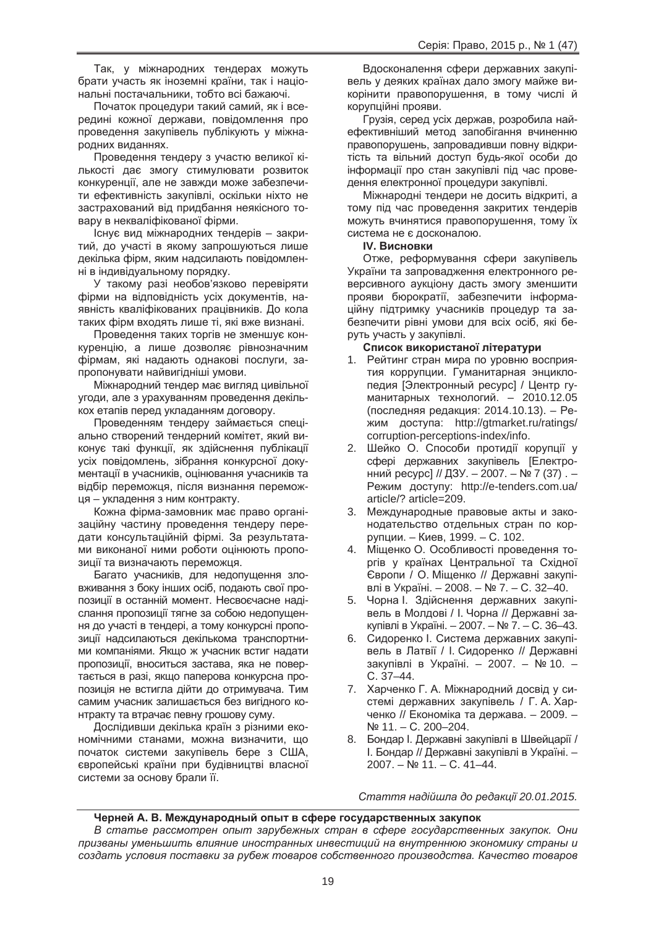Так, у міжнародних тендерах можуть брати участь як іноземні країни, так і національні постачальники, тобто всі бажаючі.

Початок процедури такий самий, як і всередині кожної держави, повідомлення про проведення закупівель публікують у міжнародних виданнях.

Проведення тендеру з участю великої кількості дає змогу стимулювати розвиток конкуренції, але не завжди може забезпечити ефективність закупівлі, оскільки ніхто не застрахований від придбання неякісного товару в некваліфікованої фірми.

Існує вид міжнародних тендерів - закритий, до участі в якому запрошуються лише декілька фірм, яким надсилають повідомленні в індивідуальному порядку.

У такому разі необов'язково перевіряти фірми на відповідність усіх документів, наявність кваліфікованих працівників. До кола таких фірм входять лише ті, які вже визнані.

Проведення таких торгів не зменшує конкуренцію, а лише дозволяє рівнозначним фірмам, які надають однакові послуги, запропонувати найвигідніші умови.

Міжнародний тендер має вигляд цивільної угоди, але з урахуванням проведення декількох етапів перед укладанням договору.

Проведенням тендеру займається спеціально створений тендерний комітет, який виконує такі функції, як здійснення публікації усіх повідомлень, зібрання конкурсної документації в учасників, оцінювання учасників та відбір переможця, після визнання переможця – укладення з ним контракту.

Кожна фірма-замовник має право організаційну частину проведення тендеру передати консультаційній фірмі. За результатами виконаної ними роботи оцінюють пропозиції та визначають переможця.

Багато учасників, для недопушення зловживання з боку інших осіб, подають свої пропозиції в останній момент. Несвоєчасне надіслання пропозиції тягне за собою недопущення до участі в тендері, а тому конкурсні пропозиції надсилаються декількома транспортними компаніями. Якщо ж учасник встиг надати пропозиції, вноситься застава, яка не повертається в разі, якщо паперова конкурсна пропозиція не встигла дійти до отримувача. Тим самим учасник залишається без вигідного контракту та втрачає певну грошову суму.

Дослідивши декілька країн з різними економічними станами, можна визначити, що початок системи закупівель бере з США, європейські країни при будівництві власної системи за основу брали її.

Вдосконалення сфери державних закупівель у деяких країнах дало змогу майже викорінити правопорушення, в тому числі й корупційні прояви.

Грузія, серед усіх держав, розробила найефективніший метод запобігання вчиненню правопорушень, запровадивши повну відкритість та вільний доступ будь-якої особи до інформації про стан закупівлі під час проведення електронної процедури закупівлі.

Міжнародні тендери не досить відкриті, а тому під час проведення закритих тендерів можуть вчинятися правопорушення, тому їх система не є досконалою.

## **IV. Висновки**

Отже, реформування сфери закупівель України та запровадження електронного реверсивного аукціону дасть змогу зменшити прояви бюрократії, забезпечити інформаційну підтримку учасників процедур та забезпечити рівні умови для всіх осіб, які беруть участь у закупівлі.

## Список використаної літератури

- 1. Рейтинг стран мира по уровню восприятия коррупции. Гуманитарная энциклопедия [Электронный ресурс] / Центр гуманитарных технологий. – 2010.12.05 (последняя редакция: 2014.10.13). – Режим доступа: http://gtmarket.ru/ratings/ corruption-perceptions-index/info.
- 2. Шейко О. Способи протидії корупції у сфері державних закупівель [Електронний ресурс] // ДЗУ. - 2007. - № 7 (37). -Режим доступу: http://e-tenders.com.ua/ article/? article=209.
- 3. Международные правовые акты и законодательство отдельных стран по коррупции. – Киев. 1999. – С. 102.
- 4. Мішенко О. Особливості проведення торгів у країнах Центральної та Східної Свропи / О. Міщенко // Державні закупівлі в Україні. – 2008. – № 7. – С. 32–40.
- 5. Чорна І. Здійснення державних закупівель в Молдові / І. Чорна // Державні закупівлі в Україні. – 2007. – № 7. – С. 36–43.
- 6. Сидоренко І. Система державних закупівель в Латвії / І. Сидоренко // Державні закупівлі в Україні. - 2007. - № 10. ɋ. 37–44.
- 7. Харченко Г. А. Міжнародний досвід у системі державних закупівель / Г. А. Харченко // Економіка та держава. – 2009. – Nº 11. – C. 200–204.
- 8. Бондар І. Державні закупівлі в Швейцарії / I. Бондар // Державні закупівлі в Україні. -2007. – № 11. – С. 41–44.

*ɋɬɚɬɬɹ ɧɚɞɿɣɲɥɚ ɞɨ ɪɟɞɚɤɰɿʀ 20.01.2015.*

### **ɑɟɪɧɟɣ Ⱥ. ȼ. Ɇɟɠɞɭɧɚɪɨɞɧɵɣ ɨɩɵɬ ɜ ɫɮɟɪɟ ɝɨɫɭɞɚɪɫɬɜɟɧɧɵɯ ɡɚɤɭɩɨɤ**

*ȼ ɫɬɚɬɶɟ ɪɚɫɫɦɨɬɪɟɧ ɨɩɵɬ ɡɚɪɭɛɟɠɧɵɯ ɫɬɪɚɧ ɜ ɫɮɟɪɟ ɝɨɫɭɞɚɪɫɬɜɟɧɧɵɯ ɡɚɤɭɩɨɤ. Ɉɧɢ ɩɪɢɡɜɚɧɵ ɭɦɟɧɶɲɢɬɶ ɜɥɢɹɧɢɟ ɢɧɨɫɬɪɚɧɧɵɯ ɢɧɜɟɫɬɢɰɢɣ ɧɚ ɜɧɭɬɪɟɧɧɸɸ ɷɤɨɧɨɦɢɤɭ ɫɬɪɚɧɵ ɢ*  $cos$ дать условия поставки за рубеж товаров собственного производства. Качество товаров